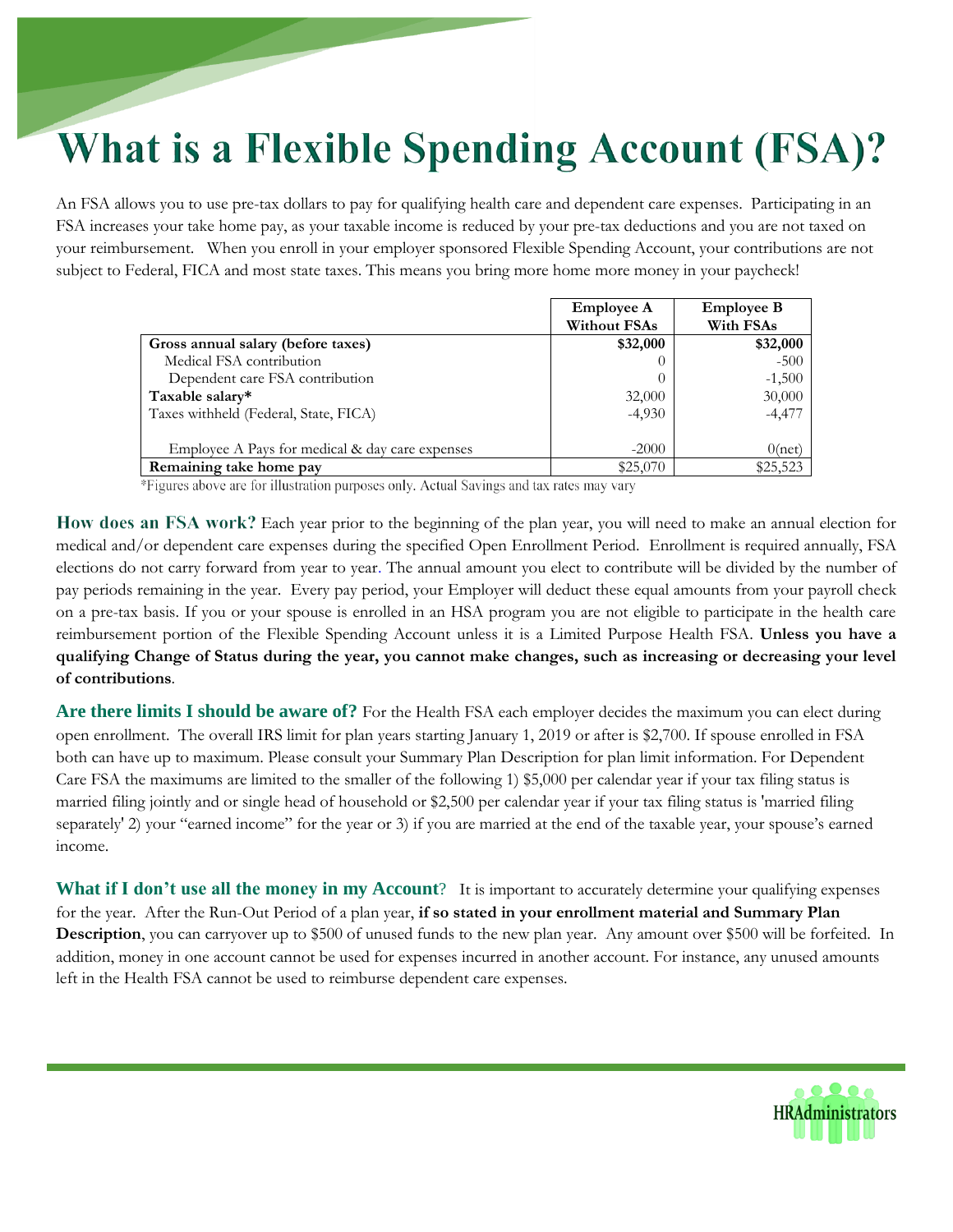# **What is a Flexible Spending Account (FSA)?**

An FSA allows you to use pre-tax dollars to pay for qualifying health care and dependent care expenses. Participating in an FSA increases your take home pay, as your taxable income is reduced by your pre-tax deductions and you are not taxed on your reimbursement. When you enroll in your employer sponsored Flexible Spending Account, your contributions are not subject to Federal, FICA and most state taxes. This means you bring more home more money in your paycheck!

|                                                 | <b>Employee A</b>   | <b>Employee B</b> |
|-------------------------------------------------|---------------------|-------------------|
|                                                 | <b>Without FSAs</b> | With FSAs         |
| Gross annual salary (before taxes)              | \$32,000            | \$32,000          |
| Medical FSA contribution                        |                     | $-500$            |
| Dependent care FSA contribution                 |                     | $-1,500$          |
| Taxable salary*                                 | 32,000              | 30,000            |
| Taxes withheld (Federal, State, FICA)           | $-4,930$            | $-4.477$          |
| Employee A Pays for medical & day care expenses | $-2000$             | $0$ (net)         |
| Remaining take home pay                         | \$25,070            | \$25,523          |

\*Figures above are for illustration purposes only. Actual Savings and tax rates may vary

How does an FSA work? Each year prior to the beginning of the plan year, you will need to make an annual election for medical and/or dependent care expenses during the specified Open Enrollment Period. Enrollment is required annually, FSA elections do not carry forward from year to year. The annual amount you elect to contribute will be divided by the number of pay periods remaining in the year. Every pay period, your Employer will deduct these equal amounts from your payroll check on a pre-tax basis. If you or your spouse is enrolled in an HSA program you are not eligible to participate in the health care reimbursement portion of the Flexible Spending Account unless it is a Limited Purpose Health FSA. **Unless you have a qualifying Change of Status during the year, you cannot make changes, such as increasing or decreasing your level of contributions.** 

**Are there limits I should be aware of?** For the Health FSA each employer decides the maximum you can elect during open enrollment. The overall IRS limit for plan years starting January 1, 2019 or after is \$2,700. If spouse enrolled in FSA both can have up to maximum. Please consult your Summary Plan Description for plan limit information. For Dependent Care FSA the maximums are limited to the smaller of the following 1) \$5,000 per calendar year if your tax filing status is married filing jointly and or single head of household or \$2,500 per calendar year if your tax filing status is 'married filing separately' 2) your "earned income" for the year or 3) if you are married at the end of the taxable year, your spouse's earned income.

What if I don't use all the money in my Account? It is important to accurately determine your qualifying expenses for the year. After the Run-Out Period of a plan year, **if so stated in your enrollment material and Summary Plan Description**, you can carryover up to \$500 of unused funds to the new plan year. Any amount over \$500 will be forfeited. In addition, money in one account cannot be used for expenses incurred in another account. For instance, any unused amounts left in the Health FSA cannot be used to reimburse dependent care expenses.

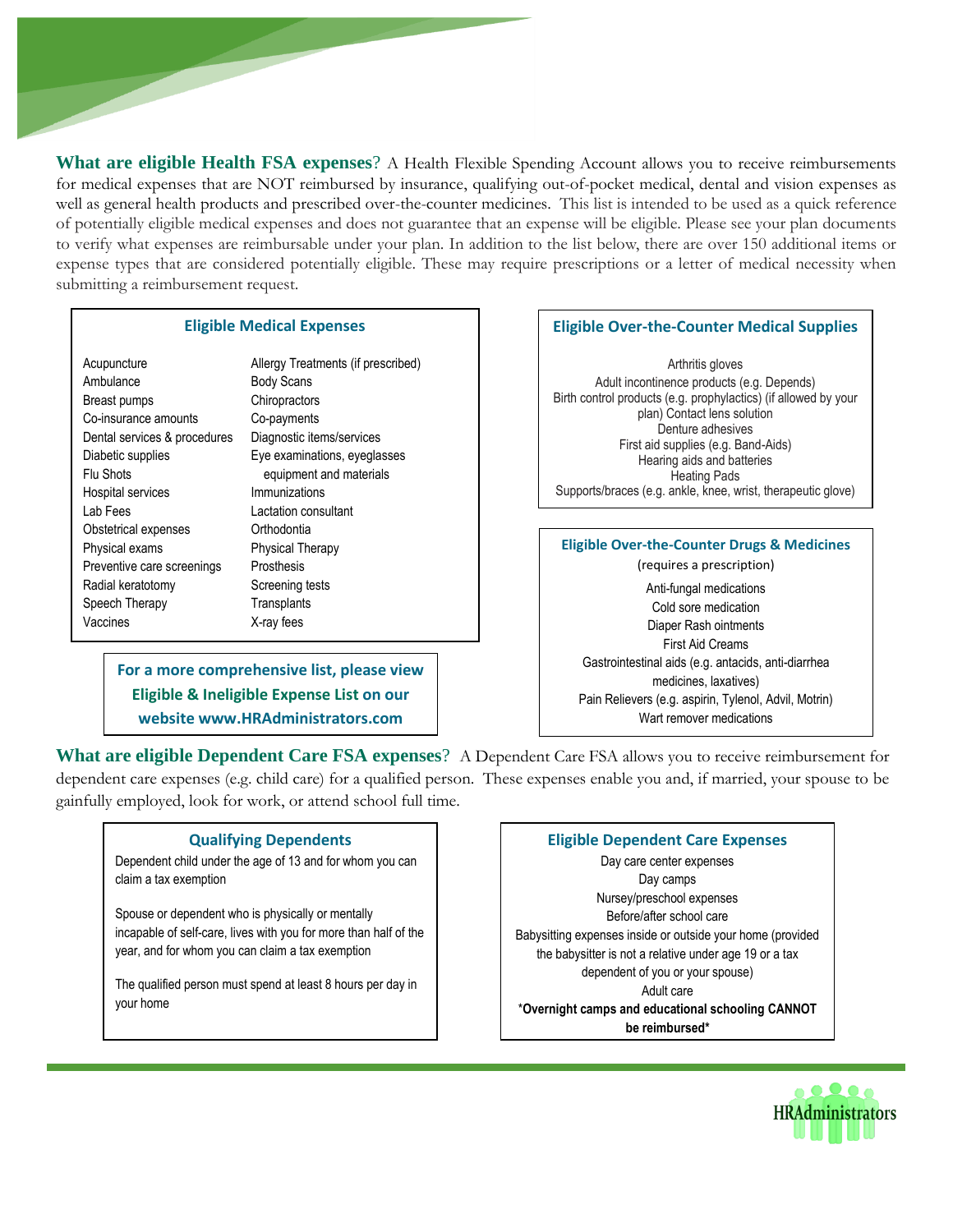

**What are eligible Health FSA expenses**? A Health Flexible Spending Account allows you to receive reimbursements for medical expenses that are NOT reimbursed by insurance, qualifying out-of-pocket medical, dental and vision expenses as well as general health products and prescribed over-the-counter medicines. This list is intended to be used as a quick reference of potentially eligible medical expenses and does not guarantee that an expense will be eligible. Please see your plan documents to verify what expenses are reimbursable under your plan. In addition to the list below, there are over 150 additional items or expense types that are considered potentially eligible. These may require prescriptions or a letter of medical necessity when submitting a reimbursement request.

#### **Eligible Medical Expenses**

| Acupuncture                  | Allergy Treatments (if prescribed) |
|------------------------------|------------------------------------|
| Ambulance                    | <b>Body Scans</b>                  |
| Breast pumps                 | Chiropractors                      |
| Co-insurance amounts         | Co-payments                        |
| Dental services & procedures | Diagnostic items/services          |
| Diabetic supplies            | Eye examinations, eyeglasses       |
| Flu Shots                    | equipment and materials            |
| Hospital services            | Immunizations                      |
| Lab Fees                     | Lactation consultant               |
| Obstetrical expenses         | Orthodontia                        |
| Physical exams               | <b>Physical Therapy</b>            |
| Preventive care screenings   | Prosthesis                         |
| Radial keratotomy            | Screening tests                    |
| Speech Therapy               | Transplants                        |
| Vaccines                     | X-ray fees                         |
|                              |                                    |

#### **For a more comprehensive list, please view Eligible & Ineligible Expense List on our website www.HRAdministrators.com**

#### **Eligible Over-the-Counter Medical Supplies**

Arthritis gloves Adult incontinence products (e.g. Depends) Birth control products (e.g. prophylactics) (if allowed by your plan) Contact lens solution Denture adhesives First aid supplies (e.g. Band-Aids) Hearing aids and batteries Heating Pads Supports/braces (e.g. ankle, knee, wrist, therapeutic glove)

#### **Eligible Over-the-Counter Drugs & Medicines**

(requires a prescription) Anti-fungal medications Cold sore medication Diaper Rash ointments

First Aid Creams Gastrointestinal aids (e.g. antacids, anti-diarrhea medicines, laxatives) Pain Relievers (e.g. aspirin, Tylenol, Advil, Motrin) Wart remover medications

**What are eligible Dependent Care FSA expenses**? A Dependent Care FSA allows you to receive reimbursement for dependent care expenses (e.g. child care) for a qualified person. These expenses enable you and, if married, your spouse to be gainfully employed, look for work, or attend school full time.

#### **Qualifying Dependents**

Dependent child under the age of 13 and for whom you can claim a tax exemption

Spouse or dependent who is physically or mentally incapable of self-care, lives with you for more than half of the year, and for whom you can claim a tax exemption

The qualified person must spend at least 8 hours per day in your home

#### **Eligible Dependent Care Expenses**

Day care center expenses Day camps Nursey/preschool expenses Before/after school care Babysitting expenses inside or outside your home (provided the babysitter is not a relative under age 19 or a tax dependent of you or your spouse) Adult care \***Overnight camps and educational schooling CANNOT be reimbursed\***

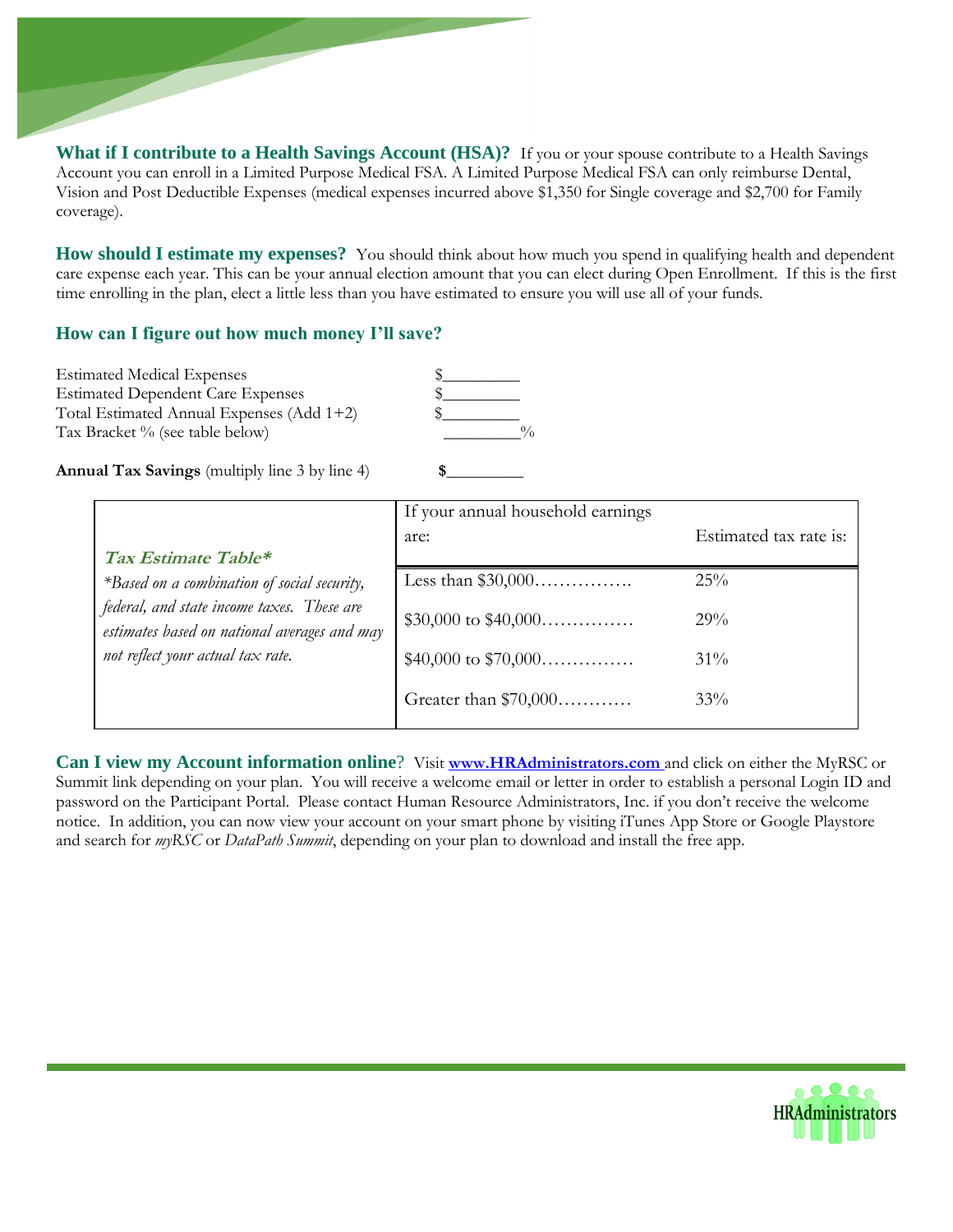**What if I contribute to a Health Savings Account (HSA)?** If you or your spouse contribute to a Health Savings Account you can enroll in a Limited Purpose Medical FSA. A Limited Purpose Medical FSA can only reimburse Dental, Vision and Post Deductible Expenses (medical expenses incurred above \$1,350 for Single coverage and \$2,700 for Family coverage).

**How should I estimate my expenses?** You should think about how much you spend in qualifying health and dependent care expense each year. This can be your annual election amount that you can elect during Open Enrollment. If this is the first time enrolling in the plan, elect a little less than you have estimated to ensure you will use all of your funds.

#### **How can I figure out how much money I'll save?**

Estimated Medical Expenses Estimated Dependent Care Expenses Total Estimated Annual Expenses (Add  $1+2$ ) Tax Bracket % (see table below)



**Annual Tax Savings** (multiply line 3 by line 4)  $\qquad$ 

| Tax Estimate Table*                                                                        | If your annual household earnings<br>are: | Estimated tax rate is: |
|--------------------------------------------------------------------------------------------|-------------------------------------------|------------------------|
| *Based on a combination of social security,                                                |                                           | 25%                    |
| federal, and state income taxes. These are<br>estimates based on national averages and may | \$30,000 to $$40,000$                     | 29%                    |
| not reflect your actual tax rate.                                                          | \$40,000 to \$70,000                      | $31\%$                 |
|                                                                                            | Greater than \$70,000                     | 33%                    |

**Can I view my Account information online**? Visit **www.HRAdministrators.com** and click on either the MyRSC or Summit link depending on your plan. You will receive a welcome email or letter in order to establish a personal Login ID and password on the Participant Portal. Please contact Human Resource Administrators, Inc. if you don't receive the welcome notice. In addition, you can now view your account on your smart phone by visiting iTunes App Store or Google Playstore and search for *myRSC* or *DataPath Summit*, depending on your plan to download and install the free app.